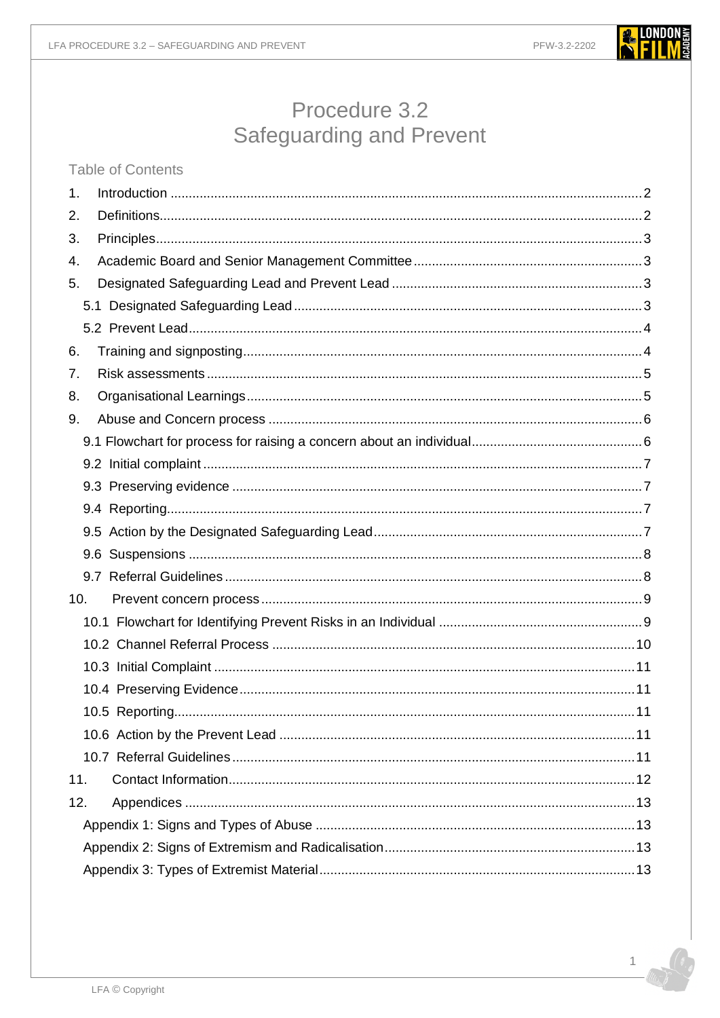

# Procedure 3.2 **Safeguarding and Prevent**

| <b>Table of Contents</b> |  |  |  |  |  |  |
|--------------------------|--|--|--|--|--|--|
|--------------------------|--|--|--|--|--|--|

| 1.  |  |  |  |  |  |  |
|-----|--|--|--|--|--|--|
| 2.  |  |  |  |  |  |  |
| 3.  |  |  |  |  |  |  |
| 4.  |  |  |  |  |  |  |
| 5.  |  |  |  |  |  |  |
|     |  |  |  |  |  |  |
|     |  |  |  |  |  |  |
| 6.  |  |  |  |  |  |  |
| 7.  |  |  |  |  |  |  |
| 8.  |  |  |  |  |  |  |
| 9.  |  |  |  |  |  |  |
|     |  |  |  |  |  |  |
|     |  |  |  |  |  |  |
|     |  |  |  |  |  |  |
|     |  |  |  |  |  |  |
|     |  |  |  |  |  |  |
|     |  |  |  |  |  |  |
|     |  |  |  |  |  |  |
| 10. |  |  |  |  |  |  |
|     |  |  |  |  |  |  |
|     |  |  |  |  |  |  |
|     |  |  |  |  |  |  |
|     |  |  |  |  |  |  |
|     |  |  |  |  |  |  |
|     |  |  |  |  |  |  |
|     |  |  |  |  |  |  |
| 11. |  |  |  |  |  |  |
| 12. |  |  |  |  |  |  |
|     |  |  |  |  |  |  |
|     |  |  |  |  |  |  |
|     |  |  |  |  |  |  |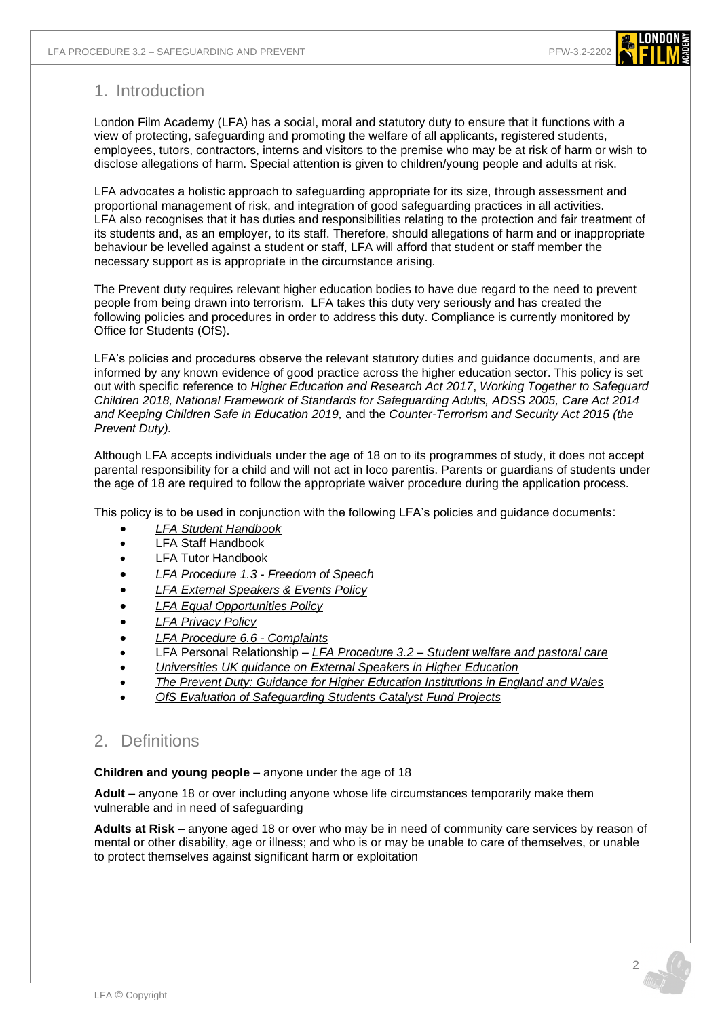## <span id="page-1-0"></span>1. Introduction

London Film Academy (LFA) has a social, moral and statutory duty to ensure that it functions with a view of protecting, safeguarding and promoting the welfare of all applicants, registered students, employees, tutors, contractors, interns and visitors to the premise who may be at risk of harm or wish to disclose allegations of harm. Special attention is given to children/young people and adults at risk.

LFA advocates a holistic approach to safeguarding appropriate for its size, through assessment and proportional management of risk, and integration of good safeguarding practices in all activities. LFA also recognises that it has duties and responsibilities relating to the protection and fair treatment of its students and, as an employer, to its staff. Therefore, should allegations of harm and or inappropriate behaviour be levelled against a student or staff, LFA will afford that student or staff member the necessary support as is appropriate in the circumstance arising.

The Prevent duty requires relevant higher education bodies to have due regard to the need to prevent people from being drawn into terrorism. LFA takes this duty very seriously and has created the following policies and procedures in order to address this duty. Compliance is currently monitored by Office for Students (OfS).

LFA's policies and procedures observe the relevant statutory duties and guidance documents, and are informed by any known evidence of good practice across the higher education sector. This policy is set out with specific reference to *Higher Education and Research Act 2017*, *Working Together to Safeguard Children 2018, National Framework of Standards for Safeguarding Adults, ADSS 2005, Care Act 2014 and Keeping Children Safe in Education 2019,* and the *Counter-Terrorism and Security Act 2015 (the Prevent Duty).*

Although LFA accepts individuals under the age of 18 on to its programmes of study, it does not accept parental responsibility for a child and will not act in loco parentis. Parents or guardians of students under the age of 18 are required to follow the appropriate waiver procedure during the application process.

This policy is to be used in conjunction with the following LFA's policies and guidance documents:

- *[LFA Student Handbook](https://www.londonfilmacademy.com/LFA_Student_Handbook.pdf)*
- LFA Staff Handbook
- LFA Tutor Handbook
- *[LFA Procedure 1.3 -](https://www.londonfilmacademy.com/LFA_Procedure_1.3_Freedom_of_Speech_Policy) Freedom of Speech*
- *[LFA External Speakers & Events Policy](https://www.londonfilmacademy.com/LFA_ExternalSpeakers_and_EventsPolicy.pdf)*
- *[LFA Equal Opportunities Policy](https://www.londonfilmacademy.com/LFA_Equal_Opportunities_Policy.pdf)*
- *[LFA Privacy Policy](https://www.londonfilmacademy.com/LFA-Privacy-Policy)*
- *[LFA Procedure 6.6 -](https://www.londonfilmacademy.com/LFA_Procedure_6.6_Complaints) Complaints*
- LFA Personal Relationship *LFA Procedure 3.2 – [Student welfare and pastoral care](LFA%20Procedure%203.2%20–%20Student%20welfare%20and%20pastoral%20care)*
- *[Universities UK guidance on External Speakers in Higher Education](https://www.universitiesuk.ac.uk/policy-and-analysis/reports/Pages/external-speakers-in-higher-education-institutions.aspx)*
- *[The Prevent Duty: Guidance for Higher Education Institutions in England and Wales](https://www.gov.uk/government/publications/prevent-duty-guidance/prevent-duty-guidance-for-higher-education-institutions-in-england-and-wales)*
- *[OfS Evaluation of Safeguarding Students Catalyst Fund](https://www.officeforstudents.org.uk/publications/evaluation-of-safeguarding-students-catalyst-fund-projects/) Projects*

## <span id="page-1-1"></span>2. Definitions

**Children and young people** – anyone under the age of 18

**Adult** – anyone 18 or over including anyone whose life circumstances temporarily make them vulnerable and in need of safeguarding

**Adults at Risk** – anyone aged 18 or over who may be in need of community care services by reason of mental or other disability, age or illness; and who is or may be unable to care of themselves, or unable to protect themselves against significant harm or exploitation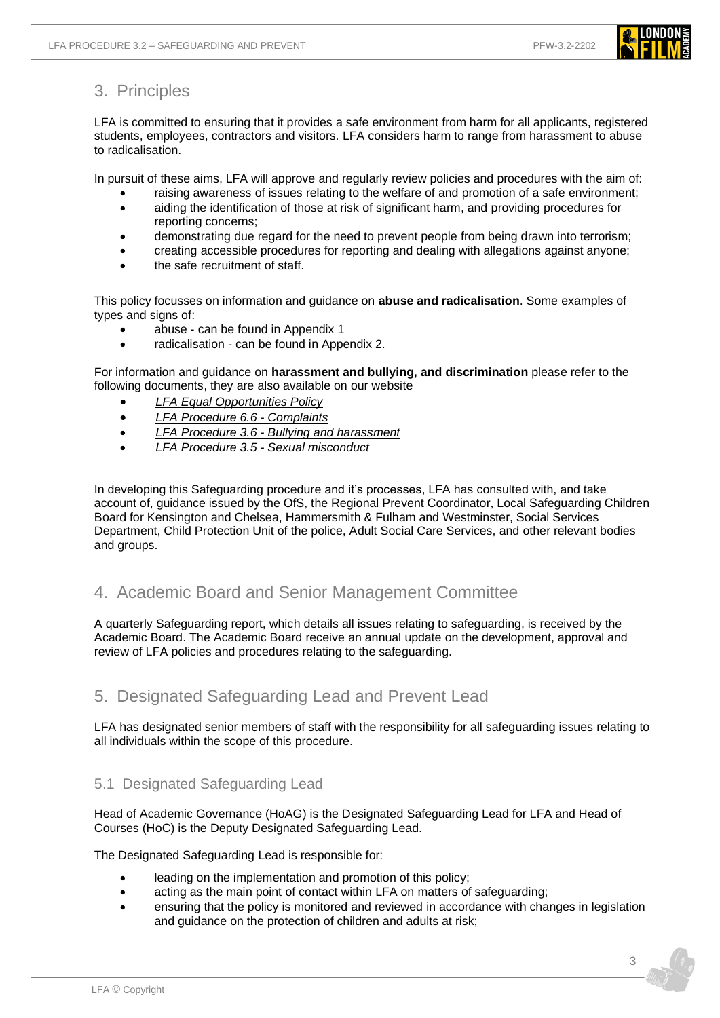## <span id="page-2-0"></span>3. Principles

LFA is committed to ensuring that it provides a safe environment from harm for all applicants, registered students, employees, contractors and visitors. LFA considers harm to range from harassment to abuse to radicalisation.

In pursuit of these aims, LFA will approve and regularly review policies and procedures with the aim of:

- raising awareness of issues relating to the welfare of and promotion of a safe environment;
- aiding the identification of those at risk of significant harm, and providing procedures for reporting concerns;
- demonstrating due regard for the need to prevent people from being drawn into terrorism;
- creating accessible procedures for reporting and dealing with allegations against anyone;
- the safe recruitment of staff.

This policy focusses on information and guidance on **abuse and radicalisation**. Some examples of types and signs of:

- abuse can be found in Appendix 1
- radicalisation can be found in Appendix 2.

For information and guidance on **harassment and bullying, and discrimination** please refer to the following documents, they are also available on our website

- *[LFA Equal Opportunities Policy](https://www.londonfilmacademy.com/LFA_Equal_Opportunities_Policy.pdf)*
- *[LFA Procedure 6.6 -](https://www.londonfilmacademy.com/LFA_Procedure_6.6_Complaints) Complaints*
- *LFA Procedure 3.6 - Bullying and harassment*
- *[LFA Procedure 3.5 -](https://www.londonfilmacademy.com/LFA_Procedure_3.5_Sexual_misconduct) Sexual misconduct*

In developing this Safeguarding procedure and it's processes, LFA has consulted with, and take account of, guidance issued by the OfS, the Regional Prevent Coordinator, Local Safeguarding Children Board for Kensington and Chelsea, Hammersmith & Fulham and Westminster, Social Services Department, Child Protection Unit of the police, Adult Social Care Services, and other relevant bodies and groups.

## <span id="page-2-1"></span>4. Academic Board and Senior Management Committee

A quarterly Safeguarding report, which details all issues relating to safeguarding, is received by the Academic Board. The Academic Board receive an annual update on the development, approval and review of LFA policies and procedures relating to the safeguarding.

## <span id="page-2-2"></span>5. Designated Safeguarding Lead and Prevent Lead

LFA has designated senior members of staff with the responsibility for all safeguarding issues relating to all individuals within the scope of this procedure.

## <span id="page-2-3"></span>5.1 Designated Safeguarding Lead

Head of Academic Governance (HoAG) is the Designated Safeguarding Lead for LFA and Head of Courses (HoC) is the Deputy Designated Safeguarding Lead.

The Designated Safeguarding Lead is responsible for:

- leading on the implementation and promotion of this policy;
- acting as the main point of contact within LFA on matters of safeguarding;
- ensuring that the policy is monitored and reviewed in accordance with changes in legislation and guidance on the protection of children and adults at risk;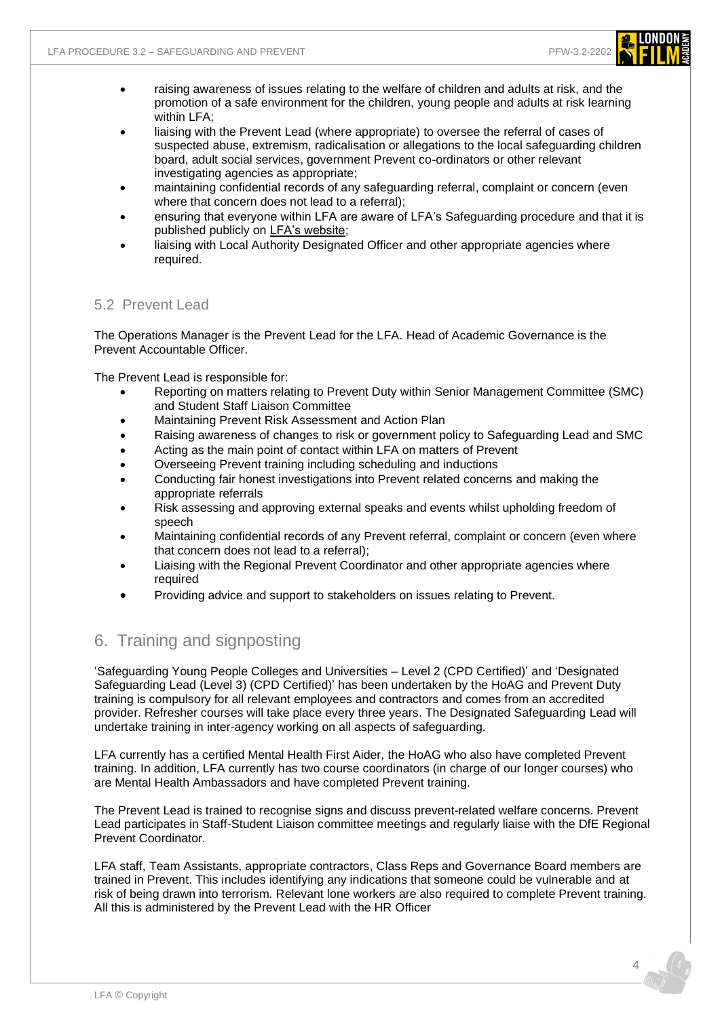

- raising awareness of issues relating to the welfare of children and adults at risk, and the promotion of a safe environment for the children, young people and adults at risk learning within LFA;
- liaising with the Prevent Lead (where appropriate) to oversee the referral of cases of suspected abuse, extremism, radicalisation or allegations to the local safeguarding children board, adult social services, government Prevent co-ordinators or other relevant investigating agencies as appropriate;
- maintaining confidential records of any safeguarding referral, complaint or concern (even where that concern does not lead to a referral);
- ensuring that everyone within LFA are aware of LFA's Safeguarding procedure and that it is published publicly on [LFA's website;](https://www.londonfilmacademy.com/policies-regulations)
- liaising with Local Authority Designated Officer and other appropriate agencies where required.

### <span id="page-3-0"></span>5.2 Prevent Lead

The Operations Manager is the Prevent Lead for the LFA. Head of Academic Governance is the Prevent Accountable Officer.

The Prevent Lead is responsible for:

- Reporting on matters relating to Prevent Duty within Senior Management Committee (SMC) and Student Staff Liaison Committee
- Maintaining Prevent Risk Assessment and Action Plan
- Raising awareness of changes to risk or government policy to Safeguarding Lead and SMC
- Acting as the main point of contact within LFA on matters of Prevent
- Overseeing Prevent training including scheduling and inductions
- Conducting fair honest investigations into Prevent related concerns and making the appropriate referrals
- Risk assessing and approving external speaks and events whilst upholding freedom of speech
- Maintaining confidential records of any Prevent referral, complaint or concern (even where that concern does not lead to a referral);
- Liaising with the Regional Prevent Coordinator and other appropriate agencies where required
- Providing advice and support to stakeholders on issues relating to Prevent.

## <span id="page-3-1"></span>6. Training and signposting

'Safeguarding Young People Colleges and Universities – Level 2 (CPD Certified)' and 'Designated Safeguarding Lead (Level 3) (CPD Certified)' has been undertaken by the HoAG and Prevent Duty training is compulsory for all relevant employees and contractors and comes from an accredited provider. Refresher courses will take place every three years. The Designated Safeguarding Lead will undertake training in inter-agency working on all aspects of safeguarding.

LFA currently has a certified Mental Health First Aider, the HoAG who also have completed Prevent training. In addition, LFA currently has two course coordinators (in charge of our longer courses) who are Mental Health Ambassadors and have completed Prevent training.

The Prevent Lead is trained to recognise signs and discuss prevent-related welfare concerns. Prevent Lead participates in Staff-Student Liaison committee meetings and regularly liaise with the DfE Regional Prevent Coordinator.

LFA staff, Team Assistants, appropriate contractors, Class Reps and Governance Board members are trained in Prevent. This includes identifying any indications that someone could be vulnerable and at risk of being drawn into terrorism. Relevant lone workers are also required to complete Prevent training. All this is administered by the Prevent Lead with the HR Officer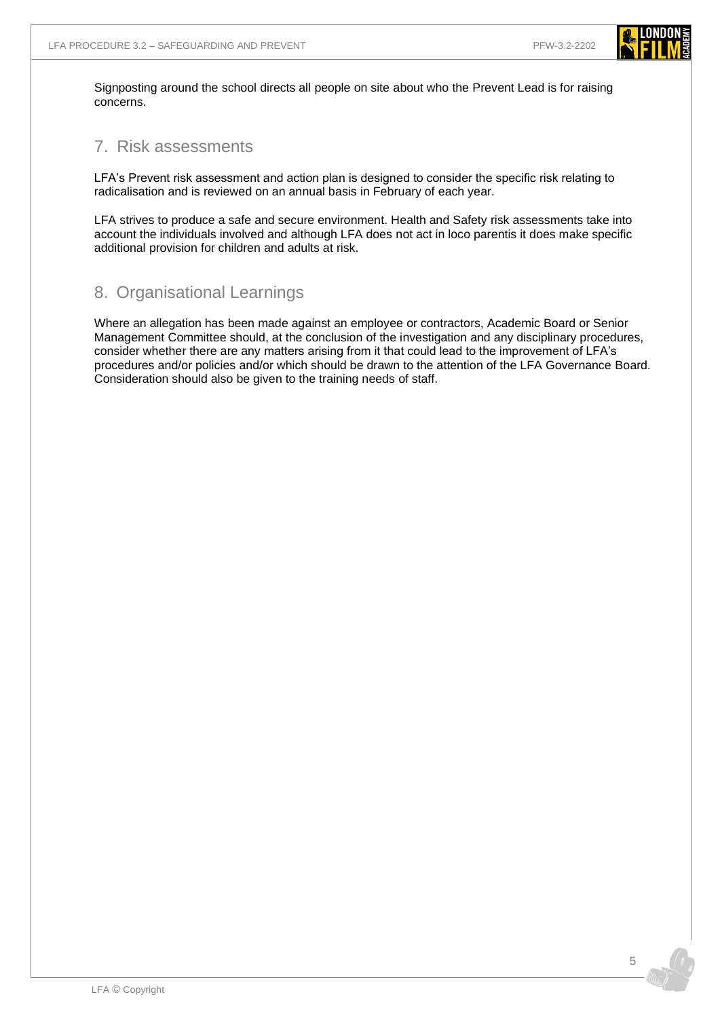

Signposting around the school directs all people on site about who the Prevent Lead is for raising concerns.

## <span id="page-4-0"></span>7. Risk assessments

LFA's Prevent risk assessment and action plan is designed to consider the specific risk relating to radicalisation and is reviewed on an annual basis in February of each year.

LFA strives to produce a safe and secure environment. Health and Safety risk assessments take into account the individuals involved and although LFA does not act in loco parentis it does make specific additional provision for children and adults at risk.

## <span id="page-4-1"></span>8. Organisational Learnings

Where an allegation has been made against an employee or contractors, Academic Board or Senior Management Committee should, at the conclusion of the investigation and any disciplinary procedures, consider whether there are any matters arising from it that could lead to the improvement of LFA's procedures and/or policies and/or which should be drawn to the attention of the LFA Governance Board. Consideration should also be given to the training needs of staff.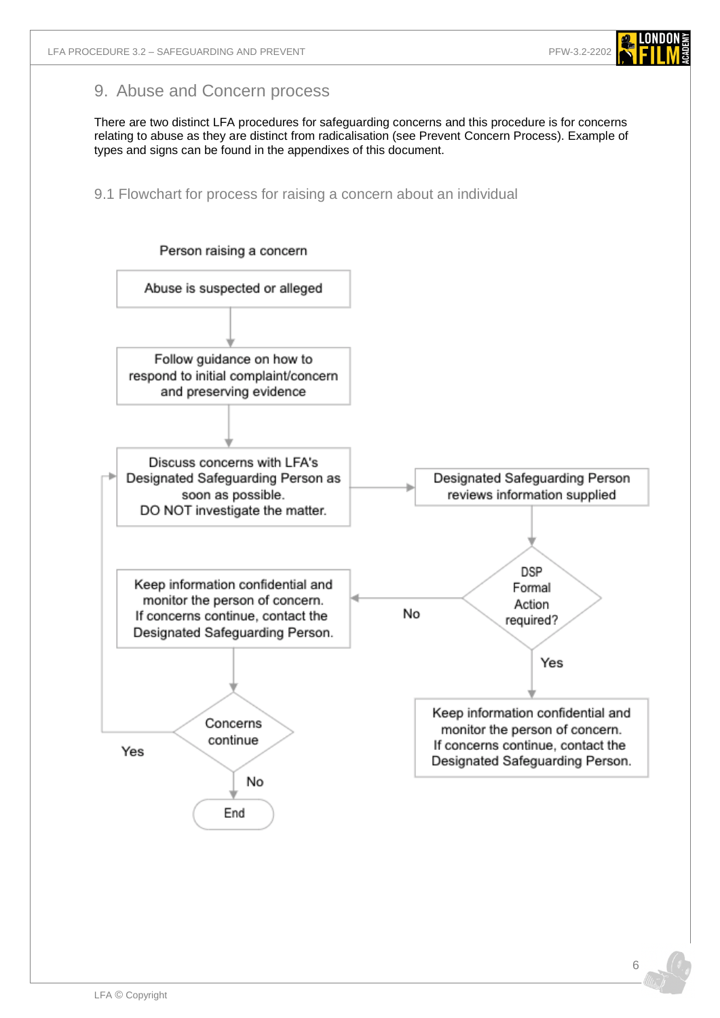

## <span id="page-5-2"></span><span id="page-5-0"></span>9. Abuse and Concern process

There are two distinct LFA procedures for safeguarding concerns and this procedure is for concerns relating to abuse as they are distinct from radicalisation (see Prevent Concern Process). Example of types and signs can be found in the appendixes of this document.

9.1 Flowchart for process for raising a concern about an individual

<span id="page-5-1"></span>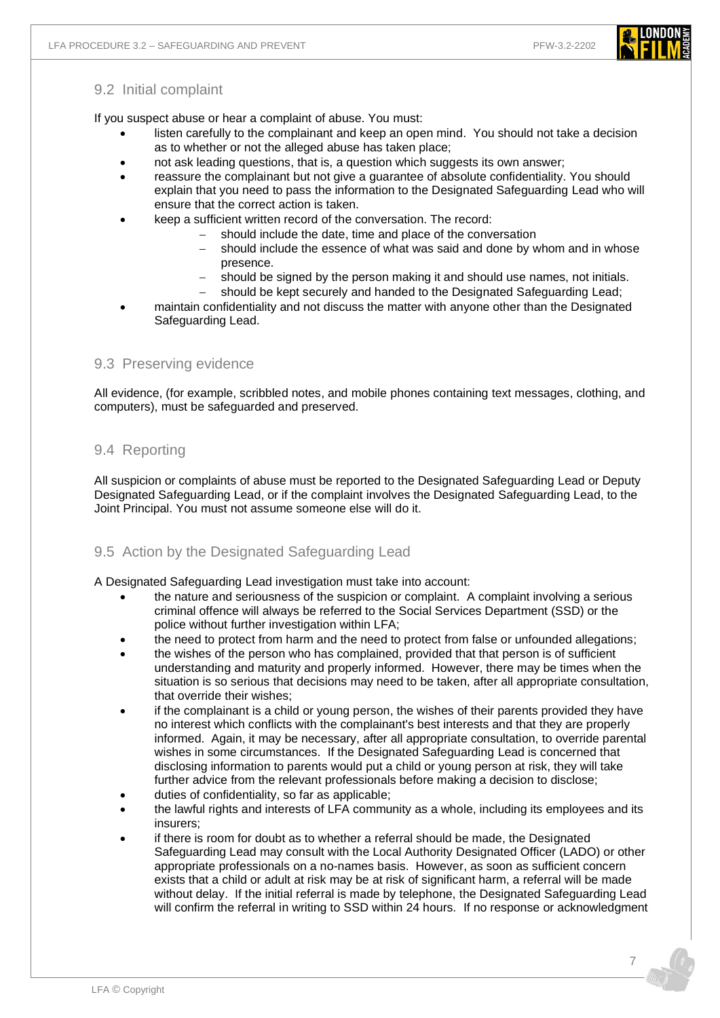## <span id="page-6-0"></span>9.2 Initial complaint

If you suspect abuse or hear a complaint of abuse. You must:

- listen carefully to the complainant and keep an open mind. You should not take a decision as to whether or not the alleged abuse has taken place;
- not ask leading questions, that is, a question which suggests its own answer;
- reassure the complainant but not give a guarantee of absolute confidentiality. You should explain that you need to pass the information to the Designated Safeguarding Lead who will ensure that the correct action is taken.
- keep a sufficient written record of the conversation. The record:
	- should include the date, time and place of the conversation
	- − should include the essence of what was said and done by whom and in whose presence.
	- should be signed by the person making it and should use names, not initials.
	- should be kept securely and handed to the Designated Safeguarding Lead;
- maintain confidentiality and not discuss the matter with anyone other than the Designated Safeguarding Lead.

### <span id="page-6-1"></span>9.3 Preserving evidence

All evidence, (for example, scribbled notes, and mobile phones containing text messages, clothing, and computers), must be safeguarded and preserved.

### <span id="page-6-2"></span>9.4 Reporting

All suspicion or complaints of abuse must be reported to the Designated Safeguarding Lead or Deputy Designated Safeguarding Lead, or if the complaint involves the Designated Safeguarding Lead, to the Joint Principal. You must not assume someone else will do it.

## <span id="page-6-3"></span>9.5 Action by the Designated Safeguarding Lead

A Designated Safeguarding Lead investigation must take into account:

- the nature and seriousness of the suspicion or complaint. A complaint involving a serious criminal offence will always be referred to the Social Services Department (SSD) or the police without further investigation within LFA;
- the need to protect from harm and the need to protect from false or unfounded allegations;
- the wishes of the person who has complained, provided that that person is of sufficient understanding and maturity and properly informed. However, there may be times when the situation is so serious that decisions may need to be taken, after all appropriate consultation, that override their wishes;
- if the complainant is a child or young person, the wishes of their parents provided they have no interest which conflicts with the complainant's best interests and that they are properly informed. Again, it may be necessary, after all appropriate consultation, to override parental wishes in some circumstances. If the Designated Safeguarding Lead is concerned that disclosing information to parents would put a child or young person at risk, they will take further advice from the relevant professionals before making a decision to disclose;
- duties of confidentiality, so far as applicable;
- the lawful rights and interests of LFA community as a whole, including its employees and its insurers;
- if there is room for doubt as to whether a referral should be made, the Designated Safeguarding Lead may consult with the Local Authority Designated Officer (LADO) or other appropriate professionals on a no-names basis. However, as soon as sufficient concern exists that a child or adult at risk may be at risk of significant harm, a referral will be made without delay. If the initial referral is made by telephone, the Designated Safeguarding Lead will confirm the referral in writing to SSD within 24 hours. If no response or acknowledgment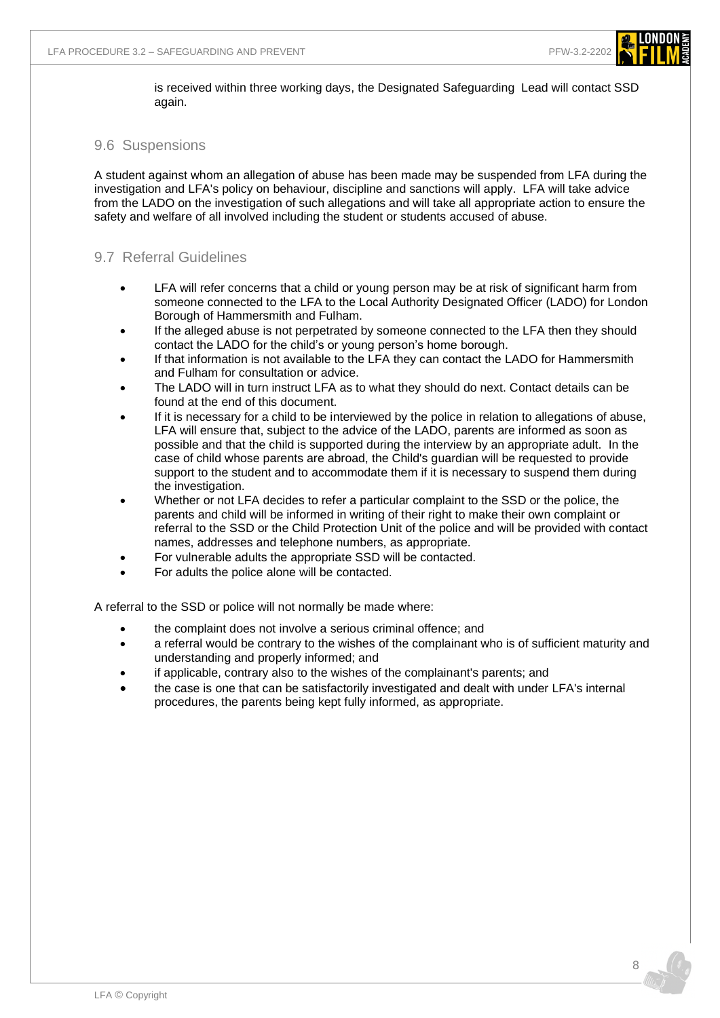

is received within three working days, the Designated Safeguarding Lead will contact SSD again.

#### <span id="page-7-0"></span>9.6 Suspensions

A student against whom an allegation of abuse has been made may be suspended from LFA during the investigation and LFA's policy on behaviour, discipline and sanctions will apply. LFA will take advice from the LADO on the investigation of such allegations and will take all appropriate action to ensure the safety and welfare of all involved including the student or students accused of abuse.

### <span id="page-7-1"></span>9.7 Referral Guidelines

- LFA will refer concerns that a child or young person may be at risk of significant harm from someone connected to the LFA to the Local Authority Designated Officer (LADO) for London Borough of Hammersmith and Fulham.
- If the alleged abuse is not perpetrated by someone connected to the LFA then they should contact the LADO for the child's or young person's home borough.
- If that information is not available to the LFA they can contact the LADO for Hammersmith and Fulham for consultation or advice.
- The LADO will in turn instruct LFA as to what they should do next. Contact details can be found at the end of this document.
- If it is necessary for a child to be interviewed by the police in relation to allegations of abuse, LFA will ensure that, subject to the advice of the LADO, parents are informed as soon as possible and that the child is supported during the interview by an appropriate adult. In the case of child whose parents are abroad, the Child's guardian will be requested to provide support to the student and to accommodate them if it is necessary to suspend them during the investigation.
- Whether or not LFA decides to refer a particular complaint to the SSD or the police, the parents and child will be informed in writing of their right to make their own complaint or referral to the SSD or the Child Protection Unit of the police and will be provided with contact names, addresses and telephone numbers, as appropriate.
- For vulnerable adults the appropriate SSD will be contacted.
- For adults the police alone will be contacted.

A referral to the SSD or police will not normally be made where:

- the complaint does not involve a serious criminal offence; and
- a referral would be contrary to the wishes of the complainant who is of sufficient maturity and understanding and properly informed; and
- if applicable, contrary also to the wishes of the complainant's parents; and
- the case is one that can be satisfactorily investigated and dealt with under LFA's internal procedures, the parents being kept fully informed, as appropriate.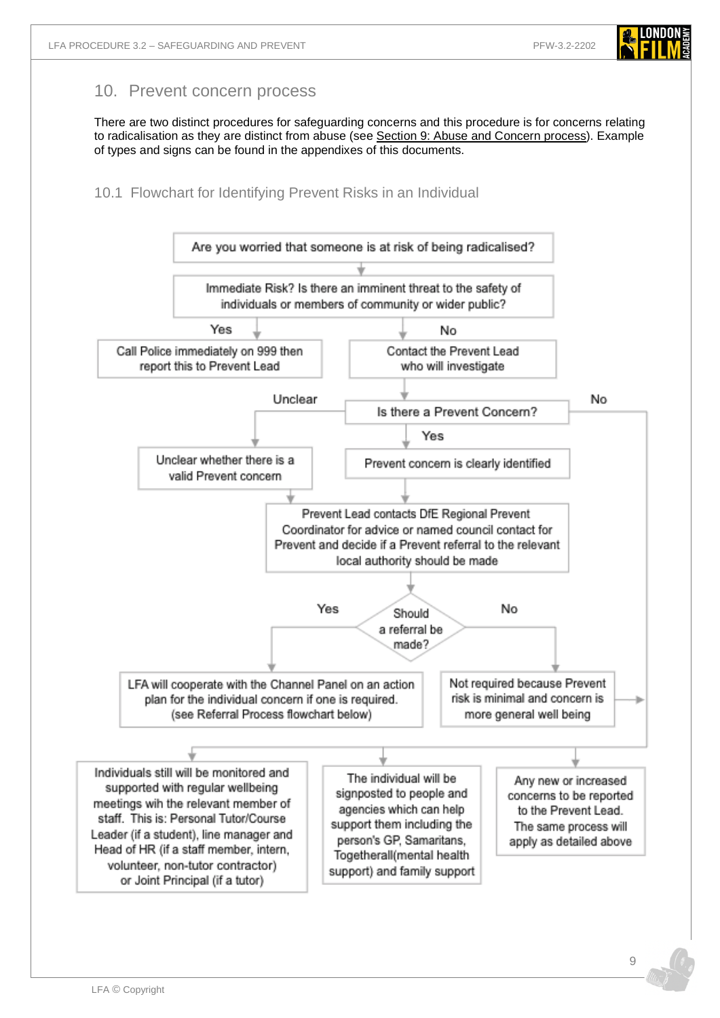

## <span id="page-8-0"></span>10. Prevent concern process

There are two distinct procedures for safeguarding concerns and this procedure is for concerns relating to radicalisation as they are distinct from abuse (see Section 9: [Abuse and Concern process\)](#page-5-2). Example of types and signs can be found in the appendixes of this documents.

## 10.1 Flowchart for Identifying Prevent Risks in an Individual

<span id="page-8-1"></span>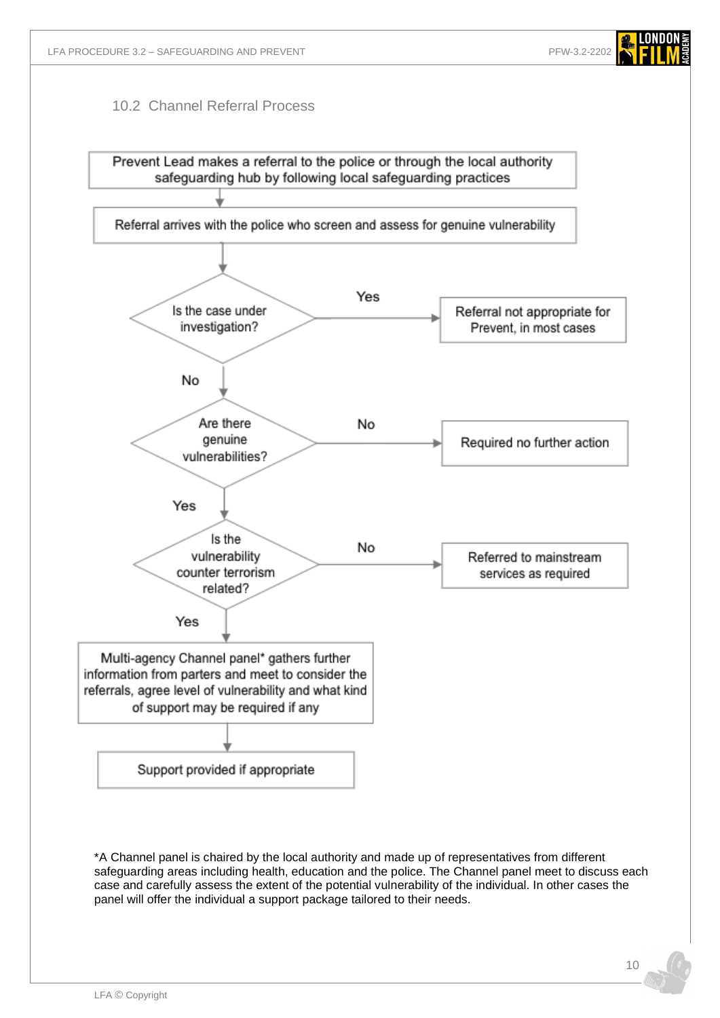10.2 Channel Referral Process

<span id="page-9-0"></span>

\*A Channel panel is chaired by the local authority and made up of representatives from different safeguarding areas including health, education and the police. The Channel panel meet to discuss each case and carefully assess the extent of the potential vulnerability of the individual. In other cases the panel will offer the individual a support package tailored to their needs.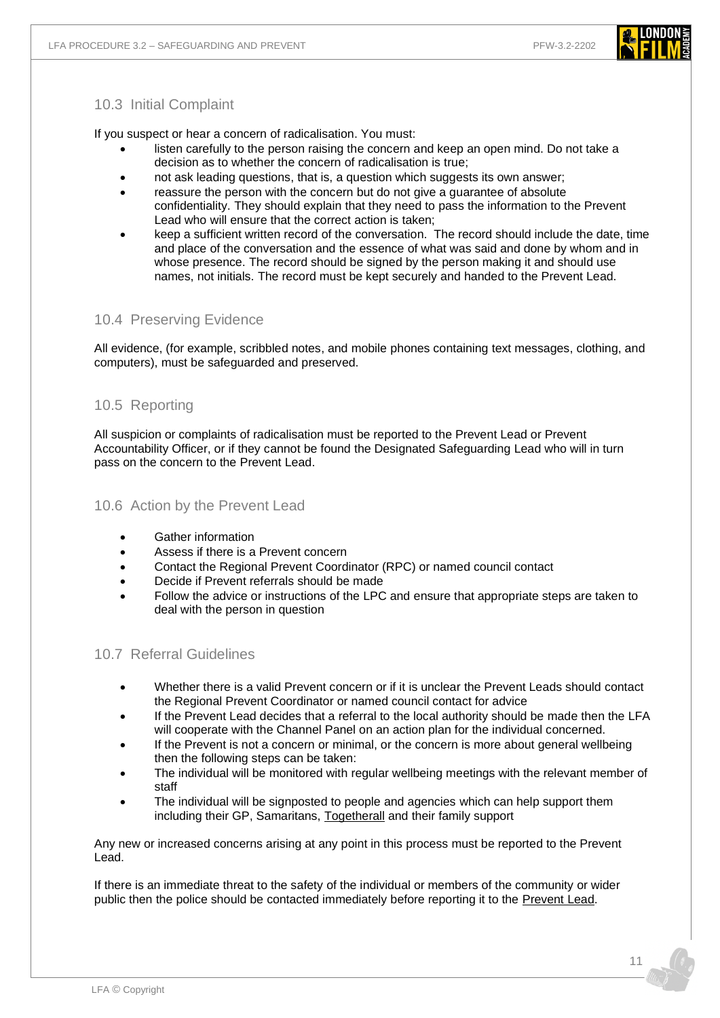<span id="page-10-0"></span>

If you suspect or hear a concern of radicalisation. You must:

- listen carefully to the person raising the concern and keep an open mind. Do not take a decision as to whether the concern of radicalisation is true;
- not ask leading questions, that is, a question which suggests its own answer;
- reassure the person with the concern but do not give a guarantee of absolute confidentiality. They should explain that they need to pass the information to the Prevent Lead who will ensure that the correct action is taken;
- keep a sufficient written record of the conversation. The record should include the date, time and place of the conversation and the essence of what was said and done by whom and in whose presence. The record should be signed by the person making it and should use names, not initials. The record must be kept securely and handed to the Prevent Lead.

## <span id="page-10-1"></span>10.4 Preserving Evidence

All evidence, (for example, scribbled notes, and mobile phones containing text messages, clothing, and computers), must be safeguarded and preserved.

### <span id="page-10-2"></span>10.5 Reporting

All suspicion or complaints of radicalisation must be reported to the Prevent Lead or Prevent Accountability Officer, or if they cannot be found the Designated Safeguarding Lead who will in turn pass on the concern to the Prevent Lead.

#### <span id="page-10-3"></span>10.6 Action by the Prevent Lead

- Gather information
- Assess if there is a Prevent concern
- Contact the Regional Prevent Coordinator (RPC) or named council contact
- Decide if Prevent referrals should be made
- Follow the advice or instructions of the LPC and ensure that appropriate steps are taken to deal with the person in question

#### <span id="page-10-4"></span>10.7 Referral Guidelines

- Whether there is a valid Prevent concern or if it is unclear the Prevent Leads should contact the Regional Prevent Coordinator or named council contact for advice
- If the Prevent Lead decides that a referral to the local authority should be made then the LFA will cooperate with the Channel Panel on an action plan for the individual concerned.
- If the Prevent is not a concern or minimal, or the concern is more about general wellbeing then the following steps can be taken:
- The individual will be monitored with regular wellbeing meetings with the relevant member of staff
- The individual will be signposted to people and agencies which can help support them including their GP, Samaritans, [Togetherall](https://togetherall.com/en-gb/) and their family support

Any new or increased concerns arising at any point in this process must be reported to the Prevent Lead.

If there is an immediate threat to the safety of the individual or members of the community or wider public then the police should be contacted immediately before reporting it to the [Prevent Lead.](mailto:prevent@londonfilmacademy.com)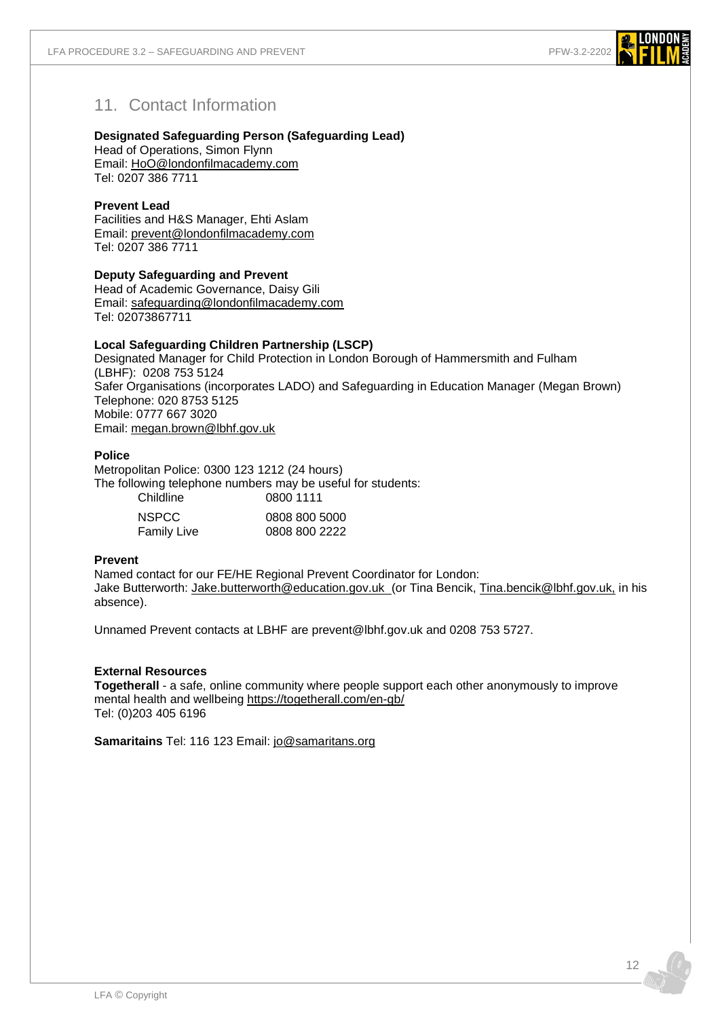

## <span id="page-11-0"></span>11. Contact Information

#### **Designated Safeguarding Person (Safeguarding Lead)**

Head of Operations, Simon Flynn Email: [HoO@londonfilmacademy.com](mailto:hoo@londonfilmacademy.com) Tel: 0207 386 7711

#### **Prevent Lead**

Facilities and H&S Manager, Ehti Aslam Email: [prevent@londonfilmacademy.com](mailto:prevent@londonfilmacademy.com) Tel: 0207 386 7711

#### **Deputy Safeguarding and Prevent**

Head of Academic Governance, Daisy Gili Email: [safeguarding@londonfilmacademy.com](mailto:safeguarding@londonfilmacademy.com) Tel: 02073867711

#### **Local Safeguarding Children Partnership (LSCP)**

Designated Manager for Child Protection in London Borough of Hammersmith and Fulham (LBHF): 0208 753 5124 Safer Organisations (incorporates LADO) and Safeguarding in Education Manager (Megan Brown) Telephone: 020 8753 5125 Mobile: 0777 667 3020 Email: [megan.brown@lbhf.gov.uk](mailto:megan.brown@lbhf.gov.uk)

#### **Police**

Metropolitan Police: 0300 123 1212 (24 hours) The following telephone numbers may be useful for students:<br>Childline 0800 1111 0800 1111

| <b>NSPCC</b>       | 0808 800 5000 |
|--------------------|---------------|
| <b>Family Live</b> | 0808 800 2222 |

#### **Prevent**

Named contact for our FE/HE Regional Prevent Coordinator for London: Jake Butterworth: [Jake.butterworth@education.gov.uk \(](mailto:Jake.Butterworth@education.gov.uk)or Tina Bencik, [Tina.bencik@lbhf.gov.uk,](mailto:Tina.bencik@lbhf.gov.uk,) in his absence).

Unnamed Prevent contacts at LBHF are prevent@lbhf.gov.uk and 0208 753 5727.

#### **External Resources**

**Togetherall** - a safe, online community where people support each other anonymously to improve mental health and wellbeing<https://togetherall.com/en-gb/> Tel: (0)203 405 6196

**Samaritains** Tel: 116 123 Email: [jo@samaritans.org](mailto:jo@samaritans.org)